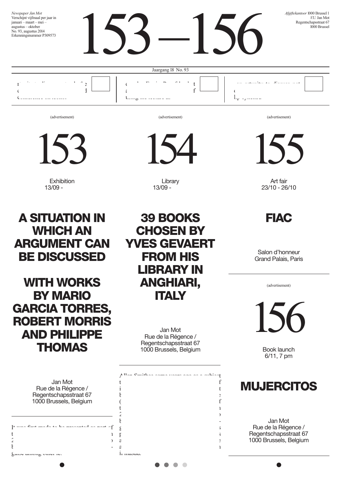

(advertisement)

153

Exhibition 13/09 -

A situation in **WHICH AN** argument can be discussed

**WITH WORKS BY MARIO** Garcia Torres, Robert Morris and Philippe **THOMAS** 

| Jan Mot<br>Rue de la Régence /<br>Regentschapsstraat 67<br>1000 Brussels, Belgium |  |
|-----------------------------------------------------------------------------------|--|
| fe como Cane acordo en 122 anoscones d'un acare af<br>ť<br>2                      |  |
| ŀ<br>guioc annung uuru re.                                                        |  |

(advertisement)



Library 13/09 -

(advertisement)

155

Art fair 23/10 - 26/10

**FIAC** 

Salon d'honneur Grand Palais, Paris

(advertisement)

156

Book launch 6/11, 7 pm

### **MUJERCITOS**

Jan Mot Rue de la Régence / Regentschapsstraat 67 1000 Brussels, Belgium



Jan Mot Rue de la Régence / Regentschapsstraat 67 1000 Brussels, Belgium

 $A$ len Smithees some years ago as a subject  $A$ to deal with failure and new paradigms of  $\mathbf f$  $i$  knew that the work would not the work would not the work would not the work would not the work would not the work would not the work would not the work would not the work would not the work would not the work would no  $\mathbf t$  $\mathfrak c$  f the  $C$ art Frieze Art Fair in  $\mathbf{r}$  $2$ <sup>0</sup> become real, at least temporarily, and in dis $g_{\text{max}}$ public program. Hopefully his questions  $\frac{1}{3}$ and gestures on stage might convince the stage might convince the stage might convince the stage might convince the stage might convince the stage might convince the stage might convince the stage might convince the stage audience that his prolific filmography, even i<sub>1</sub> masuu.

> $\bullet$  $\sqrt{2}$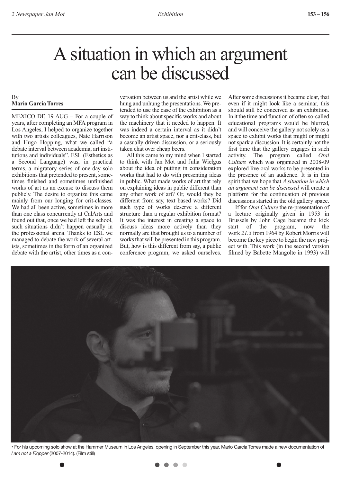### A situation in which an argument can be discussed

#### By **Mario Garcia Torres**

MEXICO DF, 19 AUG – For a couple of years, after completing an MFA program in Los Angeles, I helped to organize together with two artists colleagues, Nate Harrison and Hugo Hopping, what we called "a debate interval between academia, art institutions and individuals". ESL (Esthetics as a Second Language) was, in practical terms, a migratory series of one-day solo exhibitions that pretended to present, sometimes finished and sometimes unfinished works of art as an excuse to discuss them publicly. The desire to organize this came mainly from our longing for crit-classes. We had all been active, sometimes in more than one class concurrently at CalArts and found out that, once we had left the school, such situations didn't happen casually in the professional arena. Thanks to ESL we managed to debate the work of several artists, sometimes in the form of an organized debate with the artist, other times as a conversation between us and the artist while we hung and unhung the presentations. We pretended to use the case of the exhibition as a way to think about specific works and about the machinery that it needed to happen. It was indeed a certain interval as it didn't become an artist space, nor a crit-class, but a casually driven discussion, or a seriously taken chat over cheap beers.

All this came to my mind when I started to think with Jan Mot and Julia Wielgus about the idea of putting in consideration works that had to do with presenting ideas in public. What made works of art that rely on explaining ideas in public different than any other work of art? Or, would they be different from say, text based works? Did such type of works deserve a different structure than a regular exhibition format? It was the interest in creating a space to discuss ideas more actively than they normally are that brought us to a number of works that will be presented in this program. But, how is this different from say, a public conference program, we asked ourselves.

After some discussions it became clear, that even if it might look like a seminar, this should still be conceived as an exhibition. In it the time and function of often so-called educational programs would be blurred, and will conceive the gallery not solely as a space to exhibit works that might or might not spark a discussion. It is certainly not the first time that the gallery engages in such<br>activity. The program called Oral The program called *Oral Culture* which was organized in 2008-09 explored live oral works to be presented in the presence of an audience. It is in this spirit that we hope that *A situation in which an argument can be discussed* will create a platform for the continuation of previous discussions started in the old gallery space.

If for *Oral Culture* the re-presentation of a lecture originally given in 1953 in Brussels by John Cage became the kick start of the program, now the work *21.3* from 1964 by Robert Morris will become the key piece to begin the new project with. This work (in the second version filmed by Babette Mangolte in 1993) will



• For his upcoming solo show at the Hammer Museum in Los Angeles, opening in September this year, Mario Garcia Torres made a new documentation of *I am not a Flopper* (2007-2014). (Film still)

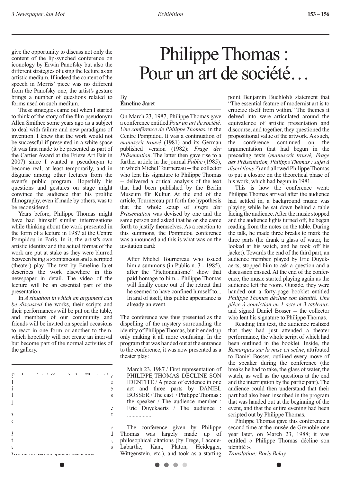give the opportunity to discuss not only the content of the lip-synched conference on iconology by Erwin Panofsky but also the different strategies of using the lecture as an artistic medium. If indeed the content of the speech in Morris' piece was no different from the Panofsky one, the artist's gesture brings a number of questions related to forms used on such medium.

These strategies came out when I started to think of the story of the film pseudonym Allen Smithee some years ago as a subject to deal with failure and new paradigms of invention. I knew that the work would not be successful if presented in a white space (it was first made to be presented as part of the Cartier Award at the Frieze Art Fair in 2007) since I wanted a pseudonym to become real, at least temporarily, and in disguise among other lectures from the event's public program. Hopefully his questions and gestures on stage might convince the audience that his prolific filmography, even if made by others, was to be reconsidered.

Years before, Philippe Thomas might have had himself similar interrogations while thinking about the work presented in the form of a lecture in 1987 at the Centre Pompidou in Paris. In it, the artist's own artistic identity and the actual format of the work are put at stake as they were blurred between being a spontaneous and a scripted (theater) play. The text by Emeline Jaret describes the work elsewhere in this newspaper in detail. The video of the lecture will be an essential part of this presentation.

In *A situation in which an argument can be discussed* the works, their scripts and their performances will be put on the table, and members of our community and friends will be invited on special occasions to react in one form or another to them, which hopefully will not create an interval but become part of the normal activities of the gallery.

 $S$ and a scripted (theater) play. The text by  $\mathbf{F}$  $i$  $\frac{1}{s}$ presentation. In *A situation in which an a*detail. The  $\mathbf v$  the lecture will be an essential part of the lecture will be an essential part of the lecture  $\mathbf v$ of this presentation. In *A situation in which an argument can b* discussed the works, the discussed the  $\mathbf i$  $t = \frac{1}{2}$  $\epsilon$  and friends of our community and friends of our community and friends of  $\epsilon$ will be invited on special occasions

### Philippe Thomas: Pour un art de société…

#### By **Émeline Jaret**

On March 23, 1987, Philippe Thomas gave a conference entitled *Pour un art de société. Une conférence de Philippe Thomas*, in the Centre Pompidou. It was a continuation of *manuscrit trouvé* (1981) and its German published version (1982): *Frage der Präsentation*. The latter then gave rise to a further article in the journal *Public* (1985), in which Michel Tournereau -- the collector who lent his signature to Philippe Thomas -- delivered a critical analysis of the text that had been published by the Berlin Museum für Kultur. At the end of the article, Tournereau put forth the hypothesis that the whole setup of *Frage der Präsentation* was devised by one and the same person and asked that he or she came forth to justify themselves. As a reaction to this summons, the Pompidou conference was announced and this is what was on the invitation card:

After Michel Tournereau who issued him a summons (in Public n. 3 - 1985). after the "Fictionnalisme" show that paid homage to him... Philippe Thomas will finally come out of the retreat that he seemed to have confined himself to... In and of itself, this public appearance is already an event.

The conference was thus presented as the dispelling of the mystery surrounding the identity of Philippe Thomas, but it ended up only making it all more confusing. In the program that was handed out at the entrance to the conference, it was now presented as a theater play:

March 23, 1987 / First representation of PHILIPPE THOMAS DÉCLINE SON IDENTITÉ / A piece of evidence in one act and three parts by DANIEL BOSSER / The cast / Philippe Thomas : the speaker / The audience member : Eric Duyckaerts / The audience : .................

The conference given by Philippe Thomas was largely made up of philosophical citations (by Frege, Lacoue-Labarthe, Kant, Platon, Heidegger, Wittgenstein, etc.), and took as a starting point Benjamin Buchloh's statement that "The essential feature of modernist art is to criticize itself from within." The themes it delved into were articulated around the equivalence of artistic presentation and discourse, and together, they questioned the propositional value of the artwork. As such, the conference continued on the argumentation that had begun in the preceding texts (*manuscrit trouvé, Frage der Präsentation, Philippe Thomas: sujet à discrétions ?*) and allowed Philippe Thomas to put a closure on the theoretical phase of his work, which had begun in 1981.

This is how the conference went: Philippe Thomas arrived after the audience had settled in, a background music was playing while he sat down behind a table facing the audience. After the music stopped and the audience lights turned off, he began reading from the notes on the table. During the talk, he made three breaks to mark the three parts (he drank a glass of water, he looked at his watch, and he took off his jacket). Towards the end of the third part, an audience member, played by Eric Duyckaerts, stopped him to ask a question and a discussion ensued. At the end of the conference, the music started playing again as the audience left the room. Outside, they were handed out a forty-page booklet entitled *Philippe Thomas décline son identité. Une pièce à conviction en 1 acte et 3 tableaux*, and signed Daniel Bosser -- the collector who lent his signature to Philippe Thomas.

Reading this text, the audience realized that they had just attended a theater performance, the whole script of which had been outlined in the booklet. Inside, the *Remarques sur la mise en scène*, attributed to Daniel Bosser, outlined every move of the speaker during the conference (the breaks he had to take, the glass of water, the watch, as well as the questions at the end and the interruption by the participant). The audience could then understand that their part had also been inscribed in the program that was handed out at the beginning of the event, and that the entire evening had been scripted out by Philippe Thomas.

Philippe Thomas gave this conference a second time at the musée de Grenoble one year later, on March 23, 1988; it was entitled « Philippe Thomas décline son identité ».

*Translation: Boris Belay*

 $\bullet\quad \bullet\quad \bullet$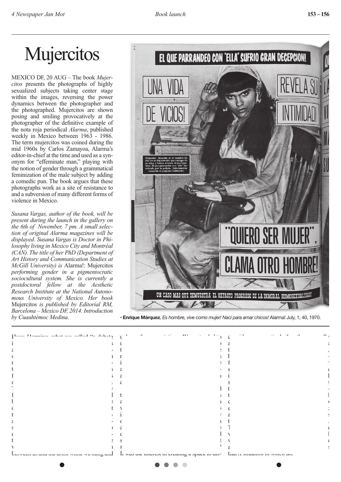# **Mujercitos**

MEXICO DF, 20 AUG – The book *Mujercitos* presents the photographs of highly sexualized subjects taking center stage within the images, reversing the power dynamics between the photographer and the photographed. Mujercitos are shown posing and smiling provocatively at the photographer of the definitive example of the nota roja periodical *Alarma*, published weekly in Mexico between 1963 - 1986. The term mujercitos was coined during the mid 1960s by Carlos Zamayoa, Alarma's editor-in-chief at the time and used as a synonym for "effeminate man," playing with the notion of gender through a grammatical feminization of the male subject by adding a comedic pun. The book argues that these photographs work as a site of resistance to and a subversion of many different forms of violence in Mexico.

*Susana Vargas, author of the book, will be present during the launch in the gallery on the 6th of November, 7 pm. A small selection of original Alarma magazines will be displayed. Susana Vargas is Doctor in Philosophy living in Mexico City and Montréal (CAN). The title of her PhD (Department of Art History and Communication Studies at McGill University) is* Alarma!: Mujercitos *performing gender in a pigmentocratic sociocultural system. She is currently a postdoctoral fellow at the Aesthetic Research Institute at the National Autonomous University of Mexico. Her book*  Mujercitos *is published by Editorial RM, Barcelona – Mexico DF, 2014. Introduction* 



*by Cuauhtémoc Medina.* • **Enrique Márquez**, *Es hombre, vive como mujer! Nací para amar chicos!* Alarma! July, 1, 40, 1970.

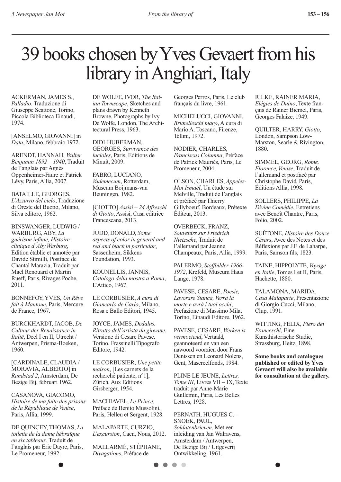# 39 books chosen by Yves Gevaert from his library in Anghiari, Italy

ACKERMAN, JAMES S., *Palladio*. Traduzione di Giuseppe Scattone, Torino, Piccola Biblioteca Einaudi, 1974.

[ANSELMO, GIOVANNI] in *Data*, Milano, febbraio 1972.

ARENDT, HANNAH, *Walter Benjamin 1892 – 1940*, Traduit de l'anglais par Agnès Oppenheimer-Faure et Patrick Lévy, Paris, Allia, 2007.

BATAILLE, GEORGES, *L'Azzurro del cielo*, Traduzione di Oreste del Buono, Milano, Silva editore, 1962.

BINSWANGER, LUDWIG / WARBURG, ABY, *La guérison infinie, Histoire clinique d'Aby Warburg*, Edition établie et annotée par Davide Stimilli, Postface de Chantal Marazia, Traduit par Maël Renouard et Martin Rueff, Paris, Rivages Poche, 2011.

BONNEFOY, YVES, *Un Rêve fait à Mantoue*, Paris, Mercure de France, 1967.

BURCKHARDT, JACOB, *De Cultuur der Renaissance in Italië*, Deel I en II, Utrecht / Antwerpen, Prisma-Boeken, 1960.

[CARDINALE, CLAUDIA / MORAVIA, ALBERTO] in *Randstad 2*, Amsterdam, De Bezige Bij, februari 1962.

CASANOVA, GIACOMO, *Histoire de ma fuite des prisons de la République de Venise*, Paris, Allia, 1999.

DE QUINCEY, THOMAS, *La toilette de la dame hébraïque en six tableaux*, Traduit de l'anglais par Eric Dayre, Paris, Le Promeneur, 1992.

DE WOLFE, IVOR, *The Italian Townscape*, Sketches and plans drawn by Kenneth Browne, Photographs by Ivy De Wolfe, London, The Architectural Press, 1963.

DIDI-HUBERMAN, GEORGES, *Survivance des lucioles*, Paris, Editions de Minuit, 2009.

FABRO, LUCIANO, *Vademecum*, Rotterdam, Museum Boijmans-van Beuningen, 1982.

[GIOTTO] *Assisi – 24 Affreschi di Giotto*, Assisi, Casa editrice Francescana, 2013.

JUDD, DONALD, *Some aspects of color in general and red and black in particular*, Sassenheim, Sikkens Foundation, 1993.

KOUNELLIS, JANNIS, *Catologo della mostra a Roma*, L'Attico, 1967.

LE CORBUSIER, *A cura di Giancarlo de Carlo*, Milano, Rosa e Ballo Editori, 1945.

JOYCE, JAMES, *Dedalus, Ritratto dell'artista da giovane*, Versione di Cesare Pavese. Torino, Frassinelli Tipografo Editore, 1942.

LE CORBUSIER, *Une petite maison*, [Les carnets de la recherché patiente, n°1], Zürich, Aux Editions Girsberger, 1954.

MACHIAVEL, *Le Prince*, Préface de Benito Mussolini, Paris, Helleu et Sergent, 1928.

MALAPARTE, CURZIO, *L'excursion*, Caen, Nous, 2012.

MALLARMÉ, STÉPHANE, *Divagations*, Préface de

Georges Perros, Paris, Le club français du livre, 1961.

MICHELUCCI, GIOVANNI *Brunelleschi mago*, A cura di Mario A. Toscano, Firenze, Tellini, 1972.

NODIER, CHARLES, *Franciscus Columna*, Préface de Patrick Mauriès, Paris, Le Promeneur, 2004.

OLSON, CHARLES, *Appelez-Moi Ismaël*, Un étude sur Melville, Traduit de l'anglais et préfacé par Thierry Gillyboeuf, Bordeaux, Prétexte Éditeur, 2013.

OVERBECK, FRANZ, *Souvenirs sur Friedrich Nietzsche*, Traduit de l'allemand par Jeanne Champeaux, Paris, Allia, 1999.

PALERMO, *Stoffbilder 1966- 1972*, Krefeld, Museum Haus Lange, 1978.

PAVESE, CESARE, *Poesie, Lavorare Stanca, Verrà la morte e avrà i tuoi occhi*, Prefazione di Massimo Mila, Torino, Einaudi Editore, 1962.

PAVESE, CESARE, *Werken is vermoeiend*, Vertaald, geannoteerd en van een nawoord voorzien door Frans Denissen en Leonard Nolens, Gent, Masereelfonds, 1984.

PLINE LE JEUNE, *Lettres, Tome III*, Livres VII – IX, Texte traduit par Anne-Marie Guillemin, Paris, Les Belles Lettres, 1928.

PERNATH, HUGUES C. – SNOEK, PAUL, *Soldatenbrieven*, Met een inleiding van Jan Walravens, Amsterdam / Antwerpen, De Bezige Bij / Uitgeverij Ontwikkeling, 1961.

 $\bullet\bullet\bullet$ 

RILKE, RAINER MARIA, *Elégies de Duino*, Texte français de Rainer Biemel, Paris, Georges Falaize, 1949.

QUILTER, HARRY, *Giotto*, London, Sampson Low-Marston, Searle & Rivington, 1880.

SIMMEL, GEORG, *Rome, Florence, Venise*, Traduit de l'allemand et postfacé par Christophe David, Paris, Éditions Allia, 1998.

SOLLERS, PHILIPPE, *La Divine Comédie*, Entretiens avec Benoît Chantre, Paris, Folio, 2002.

SUÉTONE, *Histoire des Douze Césars*, Avec des Notes et des Réflexions par J.F. de Laharpe, Paris, Samson fils, 1823.

TAINE, HIPPOLYTE, *Voyage en Italie*, Tomes I et II, Paris, Hachette, 1880.

TALAMONA, MARIDA, *Casa Malaparte*, Presentazione di Giorgio Cucci, Milano, Clup, 1991.

WITTING, FELIX, *Piero dei Franceschi*, Eine Kunsthistorische Studie, Strassburg, Heitz, 1898.

**Some books and catalogues published or edited by Yves Gevaert will also be available for consultation at the gallery.**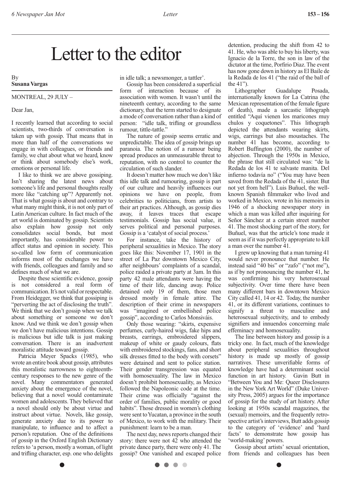### Letter to the editor

By **Susana Vargas**

### Montreal, 29 July –

Dear Jan,

I recently learned that according to social scientists, two-thirds of conversation is taken up with gossip. That means that in more than half of the conversations we engage in with colleagues, or friends and family, we chat about what we heard, know or think about somebody else's work, emotions or personal life.

I like to think we are above gossiping. Isn't sharing the latest news about someone's life and personal thoughts really more like "catching up"? Apparently not. That is what gossip is about and contrary to what many might think, it is not only part of Latin American culture. In fact much of the art world is dominated by gossip. Scientists also explain how gossip not only consolidates social bonds, but most importantly, has considerable power to affect status and opinion in society. This so-called low form of communication informs most of the exchanges we have with friends, colleagues and family and so defines much of what we are.

Despite these scientific evidence, gossip is not considered a real form of communication. It's not valid or respectable. From Heidegger, we think that gossiping is "perverting the act of disclosing the truth". We think that we don't gossip when we talk about something or someone we don't know. And we think we don't gossip when we don't have malicious intentions. Gossip is malicious but idle talk is just making conversation. There is an inadvertent moralistic attitude toward gossip.

Patricia Meyer Spacks (1985), who wrote an entire book about gossip, attributes this moralistic narrowness to eighteenthcentury responses to the new genre of the novel. Many commentators generated anxiety about the emergence of the novel, believing that a novel would contaminate women and adolescents. They believed that a novel should only be about virtue and instruct about virtue. Novels, like gossip, generate anxiety due to its power to manipulate, to influence and to affect a person's reputation. One of the definitions of gossip in the Oxford English Dictionary refers to 'a person, mostly a woman, of light and trifling character, esp. one who delights in idle talk; a newsmonger, a tattler'.

Gossip has been considered a superficial form of interaction because of its association with women. It wasn't until the nineteenth century, according to the same dictionary, that the term started to designate a mode of conversation rather than a kind of person: "idle talk, trifling or groundless rumour, tittle-tattle."

The nature of gossip seems erratic and unpredictable. The idea of gossip brings up paranoia. The notion of a rumour being spread produces an unmeasurable threat to reputation, with no control to counter the circulation of such slander.

It doesn't matter how much we don't like this idle talk and rumouring, gossip is part of our culture and heavily influences our opinions we have on people, from celebrities to politicians, from artists to their art practices. Although, as gossip dies away, it leaves traces that escape testimonials. Gossip has social value, it serves political and personal purposes. Gossip is a 'catalyst of social process.'

For instance, take the history of peripheral sexualities in Mexico. The story goes like this: November 17, 1901 in the street of La Paz downtown Mexico City, after neighbours' complaints of a scandal, police raided a private party at 3am. In this party 42 male attendants were having the time of their life, dancing away. Police detained only 19 of them, those men dressed mostly in female attire. The description of their crime in newspapers was "imagined or embellished police gossip", according to Carlos Monsiváis.

Only those wearing: "skirts, expensive perfumes, curly-haired wigs, fake hips and breasts, earrings, embroidered slippers, makeup of white or gaudy colours, flats with embroidered stockings, fans, and short silk dresses fitted to the body with corsets" were detained and sent to police station. Their gender transgression was equated with homosexuality. The law in Mexico doesn't prohibit homosexuality, as Mexico followed the Napoleonic code at the time. Their crime was officially "against the order of families, public morality or good habits". Those dressed in women's clothing were sent to Yucatan, a province in the south of Mexico, to work with the military. Their punishment: learn to be a man.

The next day, news reports changed their story: there were not 42 who attended the private dance party, there were only 41. The gossip? One vanished and escaped police

. . . .

detention, producing the shift from 42 to 41. He, who was able to buy his liberty, was Ignacio de la Torre, the son in law of the dictator at the time, Porfirio Diaz. The event has now gone down in history as El Baile de la Redada de los 41 ("the raid of the ball of the 41").

Lithographer Guadalupe Posada, internationally known for La Catrina (the Mexican representation of the female figure of death), made a sarcastic lithograph entitled "Aquí vienen los maricones muy chulos y coquetones". This lithograph depicted the attendants wearing skirts, wigs, earrings but also moustaches. The number 41 has become, according to Robert Buffington (2000), the number of abjection. Through the 1950s in Mexico, the phrase that still circulated was: "de la Redada de los 41 te salvaste manita. Del infierno todavía no" ("You may have been saved from the Redada of the 41, sister. But not yet from hell"). Luis Buñuel, the wellknown Spanish filmmaker who lived and worked in Mexico, wrote in his memoirs in 1946 of a shocking newspaper story in which a man was killed after inquiring for Señor Sánchez at a certain street number 41. The most shocking part of the story, for Buñuel, was that the article's tone made it seem as if it was perfectly appropriate to kill a man over the number 41.

I grew up knowing that a man turning 41 would never pronounce that number. He instead said "40 bis" or "zafo" ("not me"), as if by not pronouncing the number 41, he was confirming his very heterosexual subjectivity. Over time there have been many different bars in downtown Mexico City called 41, 14 or 42. Today, the number 41, or its different variations, continues to signify a threat to masculine and heterosexual subjectivity, and to embody signifiers and innuendos concerning male effeminacy and homosexuality.

The line between history and gossip is a tricky one. In fact, much of the knowledge about peripheral sexualities throughout history is made up mostly of gossip narratives. These unverifiable forms of knowledge have had a determinant social function in art history. Gavin Butt in "Between You and Me: Queer Disclosures in the New York Art World" (Duke University Press, 2005) argues for the importance of gossip for the study of art history. After looking at 1950s scandal magazines, the (sexual) memoirs, and the frequently retrospective artist's interviews, Butt adds gossip to the category of 'evidence' and 'hard facts' to demonstrate how gossip has 'world-making' powers.

Gossip about artists' sexual orientation, from friends and colleagues has been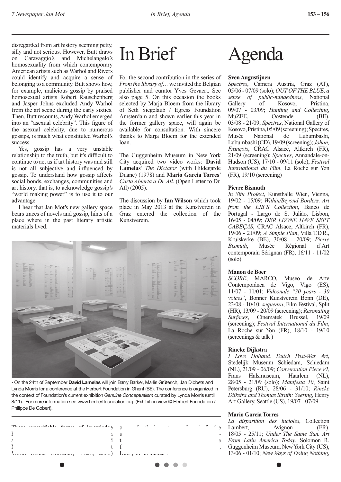disregarded from art history seeming petty, silly and not serious. However, Butt draws on Caravaggio's and Michelangelo's homosexuality from which contemporary American artists such as Warhol and Rivers could identify and acquire a sense of belonging to a community. Butt shows how, for example, malicious gossip by praised homosexual artists Robert Rauschenberg and Jasper Johns excluded Andy Warhol from the art scene during the early sixties. Then, Butt recounts, Andy Warhol emerged into an "asexual celebrity". This figure of the asexual celebrity, due to numerous gossips, is much what constituted Warhol's success.

Yes, gossip has a very unstable relationship to the truth, but it's difficult to continue to act as if art history was and still is not all subjective and influenced by gossip. To understand how gossip affects social bonds, exchanges, communities and art history, that is, to acknowledge gossip's "world making power" is to use it to our advantage.

I hear that Jan Mot's new gallery space bears traces of novels and gossip, hints of a place where in the past literary artistic materials lived.

### In Brief

For the second contribution in the series of *From the library of…* we invited the Belgian publisher and curator Yves Gevaert. See also page 5. On this occasion the books selected by Marja Bloem from the library of Seth Siegelaub / Egress Foundation Amsterdam and shown earlier this year in the former gallery space, will again be available for consultation. With sincere thanks to Marja Bloem for the extended loan.

The Guggenheim Museum in New York City acquired two video works: **David Lamelas**' *The Dictator* (with Hildegarde Duane) (1978) and **Mario Garcia Torres**' *Carta Abierta a Dr. Atl*. (Open Letter to Dr. Atl) (2005).

The discussion by **Ian Wilson** which took place in May 2013 at the Kunstverein in Graz entered the collection of the Kunstverein.



• On the 24th of September **David Lamelas** will join Barry Barker, Marlis Grüterich, Jan Dibbets and Lynda Morris for a conference at the Herbert Foundation in Ghent (BE). The conference is organized in the context of Foundation's current exhibition *Genuine Conceptualism* curated by Lynda Morris (until 8/11). For more information see www.herbertfoundation.org. (Exhibition view © Herbert Foundation / Philippe De Gobert).



# Agenda

#### **Sven Augustijnen**

*Spectres*, Camera Austria, Graz (AT), 05/06 - 07/09 (solo); *OUT OF THE BLUE, a sense of public-mindedness*, National Kosovo, 09/07 - 03/09; *Hunting and Collecting*, Oostende 03/08 - 21/09; *Spectres*, National Gallery of Kosovo, Pristina, 05/09 (screening); Spectres,<br>Musée National de Lubumbashi, Lubumbashi, Lubumbashi (CD), 19/09 (screening); *Johan, François*, CRAC Alsace, Altkirch (FR), 21/09 (screening); *Spectres*, Annandale-on-Hudson (US), 17/10 - 09/11 (solo); *Festival International du Film*, La Roche sur Yon (FR), 19/10 (screening)

#### **Pierre Bismuth**

*In Situ Project*, Kunsthalle Wien, Vienna, 19/02 - 15/09; *Within/Beyond Borders. Art from the EIB'S Collection*, Banco de Portugal - Largo de S. Julião, Lisbon, 16/05 - 04/09; *DER LEONE HAVE SEPT CABEÇAS*, CRAC Alsace, Altkirch (FR), 19/06 - 21/09; *A Simple Plan*, Villa T.D.R., Kruiskerke (BE), 30/08 - 20/09; *Pierre Bismuth*, Musée Régional contemporain Sérignan (FR), 16/11 - 11/02 (solo)

#### **Manon de Boer**

*SCORE*, MARCO, Museo de Arte Contemporánea de Vigo, Vigo (ES), 11/07 - 11/01; *Videonale "30 years - 30 voices*", Bonner Kunstverein Bonn (DE), 23/08 - 10/10; *sequenza*, Film Festival, Split (HR), 13/09 - 20/09 (screening); *Resonating Surfaces*, Cinematek Brussel, 19/09 (screening); *Festival International du Film*, La Roche sur Yon (FR), 18/10 - 19/10 (screenings & talk )

#### **Rineke Dijkstra**

*I Love Holland. Dutch Post-War Art*, Stedelijk Museum Schiedam, Schiedam (NL), 21/09 - 06/09; *Conversation Piece VI*, Frans Halsmuseum, Haarlem (NL), 28/05 - 21/09 (solo); *Manifesta 10*, Saint Petersburg (RU), 28/06 - 31/10; *Rineke Dijkstra and Thomas Struth: See•ing*, Henry Art Gallery, Seattle (US), 19/07 - 07/09

#### **Mario Garcia Torres**

*La disparition des lucioles*, Collection Lambert Avignon (FR) 18/05 - 25/11; *Under The Same Sun. Art From Latin America Today*, Solomon R. Guggenheim Museum, New York City (US), 13/06 - 01/10; *New Ways of Doing Nothing*,